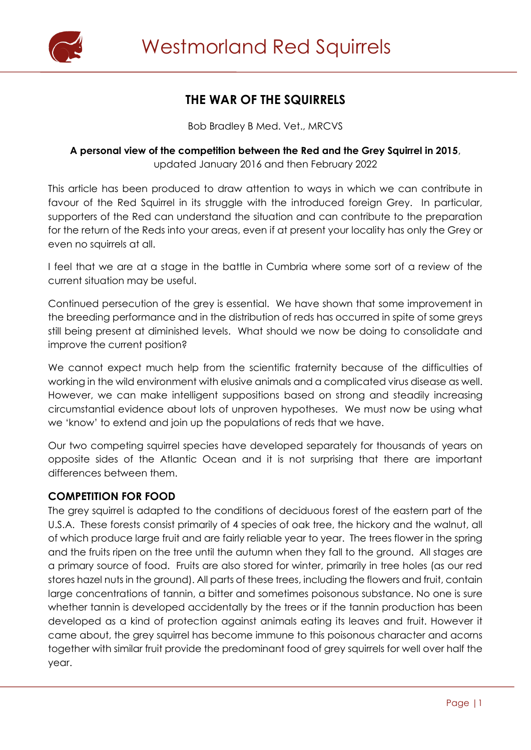

# **THE WAR OF THE SQUIRRELS**

Bob Bradley B Med. Vet., MRCVS

#### **A personal view of the competition between the Red and the Grey Squirrel in 2015**, updated January 2016 and then February 2022

This article has been produced to draw attention to ways in which we can contribute in favour of the Red Squirrel in its struggle with the introduced foreign Grey. In particular, supporters of the Red can understand the situation and can contribute to the preparation for the return of the Reds into your areas, even if at present your locality has only the Grey or even no squirrels at all.

I feel that we are at a stage in the battle in Cumbria where some sort of a review of the current situation may be useful.

Continued persecution of the grey is essential. We have shown that some improvement in the breeding performance and in the distribution of reds has occurred in spite of some greys still being present at diminished levels. What should we now be doing to consolidate and improve the current position?

We cannot expect much help from the scientific fraternity because of the difficulties of working in the wild environment with elusive animals and a complicated virus disease as well. However, we can make intelligent suppositions based on strong and steadily increasing circumstantial evidence about lots of unproven hypotheses. We must now be using what we 'know' to extend and join up the populations of reds that we have.

Our two competing squirrel species have developed separately for thousands of years on opposite sides of the Atlantic Ocean and it is not surprising that there are important differences between them.

### **COMPETITION FOR FOOD**

The grey squirrel is adapted to the conditions of deciduous forest of the eastern part of the U.S.A. These forests consist primarily of 4 species of oak tree, the hickory and the walnut, all of which produce large fruit and are fairly reliable year to year. The trees flower in the spring and the fruits ripen on the tree until the autumn when they fall to the ground. All stages are a primary source of food. Fruits are also stored for winter, primarily in tree holes (as our red stores hazel nuts in the ground). All parts of these trees, including the flowers and fruit, contain large concentrations of tannin, a bitter and sometimes poisonous substance. No one is sure whether tannin is developed accidentally by the trees or if the tannin production has been developed as a kind of protection against animals eating its leaves and fruit. However it came about, the grey squirrel has become immune to this poisonous character and acorns together with similar fruit provide the predominant food of grey squirrels for well over half the year.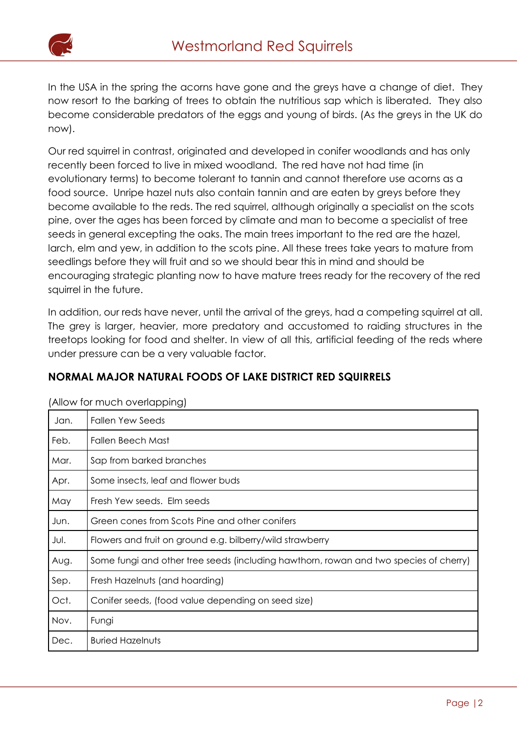

In the USA in the spring the acorns have gone and the greys have a change of diet. They now resort to the barking of trees to obtain the nutritious sap which is liberated. They also become considerable predators of the eggs and young of birds. (As the greys in the UK do now).

Our red squirrel in contrast, originated and developed in conifer woodlands and has only recently been forced to live in mixed woodland. The red have not had time (in evolutionary terms) to become tolerant to tannin and cannot therefore use acorns as a food source. Unripe hazel nuts also contain tannin and are eaten by greys before they become available to the reds. The red squirrel, although originally a specialist on the scots pine, over the ages has been forced by climate and man to become a specialist of tree seeds in general excepting the oaks. The main trees important to the red are the hazel, larch, elm and yew, in addition to the scots pine. All these trees take years to mature from seedlings before they will fruit and so we should bear this in mind and should be encouraging strategic planting now to have mature trees ready for the recovery of the red squirrel in the future.

In addition, our reds have never, until the arrival of the greys, had a competing squirrel at all. The grey is larger, heavier, more predatory and accustomed to raiding structures in the treetops looking for food and shelter. In view of all this, artificial feeding of the reds where under pressure can be a very valuable factor.

| NORMAL MAJOR NATURAL FOODS OF LAKE DISTRICT RED SQUIRRELS |  |  |  |
|-----------------------------------------------------------|--|--|--|
|                                                           |  |  |  |

| Jan. | <b>Fallen Yew Seeds</b>                                                               |
|------|---------------------------------------------------------------------------------------|
|      |                                                                                       |
| Feb. | <b>Fallen Beech Mast</b>                                                              |
| Mar. | Sap from barked branches                                                              |
| Apr. | Some insects, leaf and flower buds                                                    |
| May  | Fresh Yew seeds. Elm seeds                                                            |
| Jun. | Green cones from Scots Pine and other conifers                                        |
| Jul. | Flowers and fruit on ground e.g. bilberry/wild strawberry                             |
| Aug. | Some fungi and other tree seeds (including hawthorn, rowan and two species of cherry) |
| Sep. | Fresh Hazelnuts (and hoarding)                                                        |
| Oct. | Conifer seeds, (food value depending on seed size)                                    |
| Nov. | Fungi                                                                                 |
| Dec. | <b>Buried Hazelnuts</b>                                                               |

(Allow for much overlapping)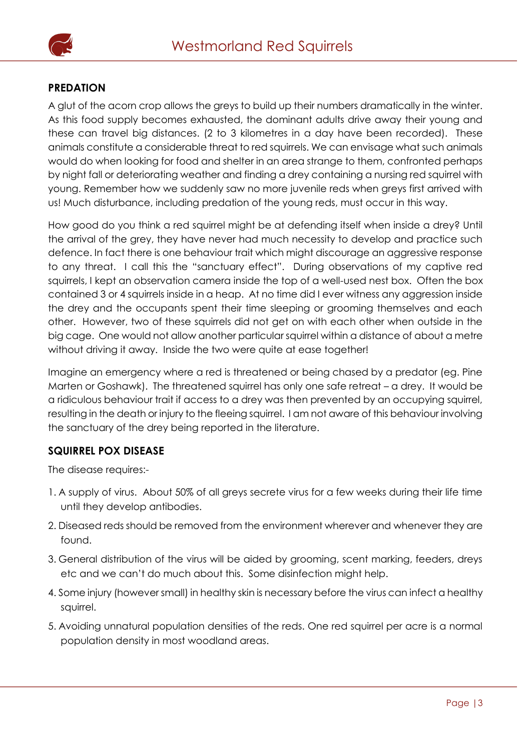

### **PREDATION**

A glut of the acorn crop allows the greys to build up their numbers dramatically in the winter. As this food supply becomes exhausted, the dominant adults drive away their young and these can travel big distances. (2 to 3 kilometres in a day have been recorded). These animals constitute a considerable threat to red squirrels. We can envisage what such animals would do when looking for food and shelter in an area strange to them, confronted perhaps by night fall or deteriorating weather and finding a drey containing a nursing red squirrel with young. Remember how we suddenly saw no more juvenile reds when greys first arrived with us! Much disturbance, including predation of the young reds, must occur in this way.

How good do you think a red squirrel might be at defending itself when inside a drey? Until the arrival of the grey, they have never had much necessity to develop and practice such defence. In fact there is one behaviour trait which might discourage an aggressive response to any threat. I call this the "sanctuary effect". During observations of my captive red squirrels, I kept an observation camera inside the top of a well-used nest box. Often the box contained 3 or 4 squirrels inside in a heap. At no time did I ever witness any aggression inside the drey and the occupants spent their time sleeping or grooming themselves and each other. However, two of these squirrels did not get on with each other when outside in the big cage. One would not allow another particular squirrel within a distance of about a metre without driving it away. Inside the two were quite at ease together!

Imagine an emergency where a red is threatened or being chased by a predator (eg. Pine Marten or Goshawk). The threatened squirrel has only one safe retreat – a drey. It would be a ridiculous behaviour trait if access to a drey was then prevented by an occupying squirrel, resulting in the death or injury to the fleeing squirrel. I am not aware of this behaviour involving the sanctuary of the drey being reported in the literature.

#### **SQUIRREL POX DISEASE**

The disease requires:-

- 1. A supply of virus. About 50% of all greys secrete virus for a few weeks during their life time until they develop antibodies.
- 2. Diseased reds should be removed from the environment wherever and whenever they are found.
- 3. General distribution of the virus will be aided by grooming, scent marking, feeders, dreys etc and we can't do much about this. Some disinfection might help.
- 4. Some injury (however small) in healthy skin is necessary before the virus can infect a healthy squirrel.
- 5. Avoiding unnatural population densities of the reds. One red squirrel per acre is a normal population density in most woodland areas.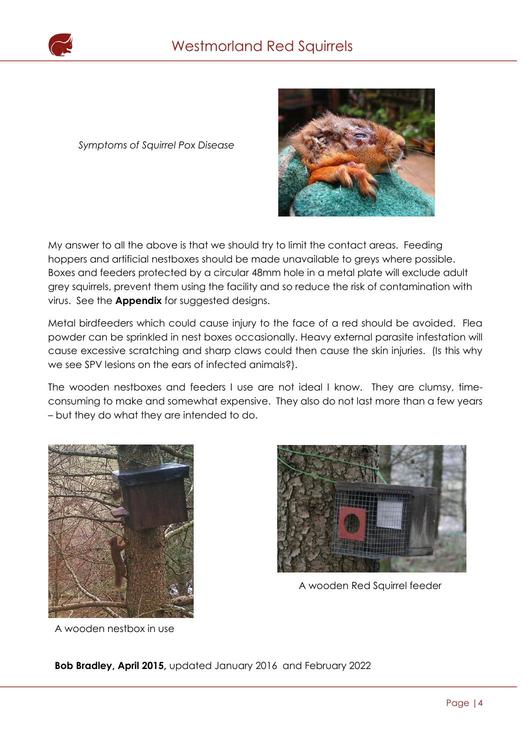

*Symptoms of Squirrel Pox Disease*



My answer to all the above is that we should try to limit the contact areas. Feeding hoppers and artificial nestboxes should be made unavailable to greys where possible. Boxes and feeders protected by a circular 48mm hole in a metal plate will exclude adult grey squirrels, prevent them using the facility and so reduce the risk of contamination with virus. See the **Appendix** for suggested designs.

Metal birdfeeders which could cause injury to the face of a red should be avoided. Flea powder can be sprinkled in nest boxes occasionally. Heavy external parasite infestation will cause excessive scratching and sharp claws could then cause the skin injuries. (Is this why cause it is not a we see SPV lesions on the ears of infected animals?).

The wooden nestboxes and feeders I use are not ideal I know. They are clumsy, timeconsuming to make and somewhat expensive. They also do not last more than a few years – but they do what they are intended to do.



A wooden nestbox in use



A wooden Red Squirrel feeder

**Bob Bradley, April 2015,** updated January 2016 and February 2022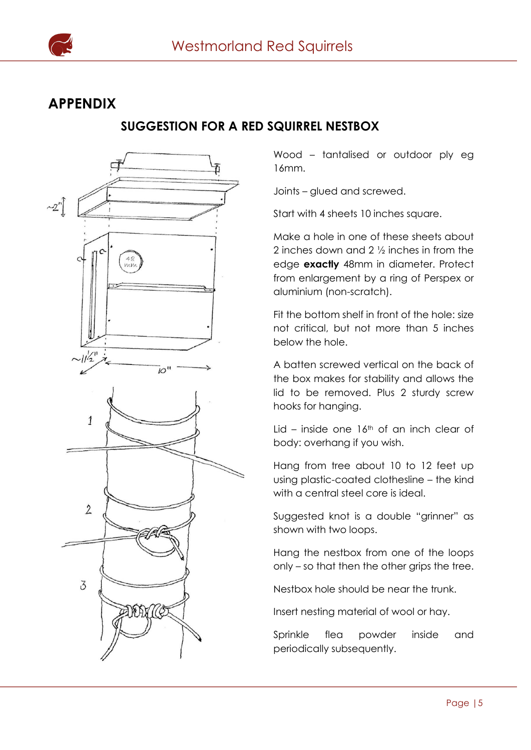

# **APPENDIX**

## **SUGGESTION FOR A RED SQUIRREL NESTBOX**



Wood – tantalised or outdoor ply eg 16mm.

Joints – glued and screwed.

Start with 4 sheets 10 inches square.

Make a hole in one of these sheets about 2 inches down and 2 ½ inches in from the edge **exactly** 48mm in diameter. Protect from enlargement by a ring of Perspex or aluminium (non-scratch).

Fit the bottom shelf in front of the hole: size not critical, but not more than 5 inches below the hole.

A batten screwed vertical on the back of the box makes for stability and allows the lid to be removed. Plus 2 sturdy screw hooks for hanging.

Lid – inside one  $16<sup>th</sup>$  of an inch clear of body: overhang if you wish.

Hang from tree about 10 to 12 feet up using plastic-coated clothesline – the kind with a central steel core is ideal.

Suggested knot is a double "grinner" as shown with two loops.

Hang the nestbox from one of the loops only – so that then the other grips the tree.

Nestbox hole should be near the trunk.

Insert nesting material of wool or hay.

Sprinkle flea powder inside and periodically subsequently.